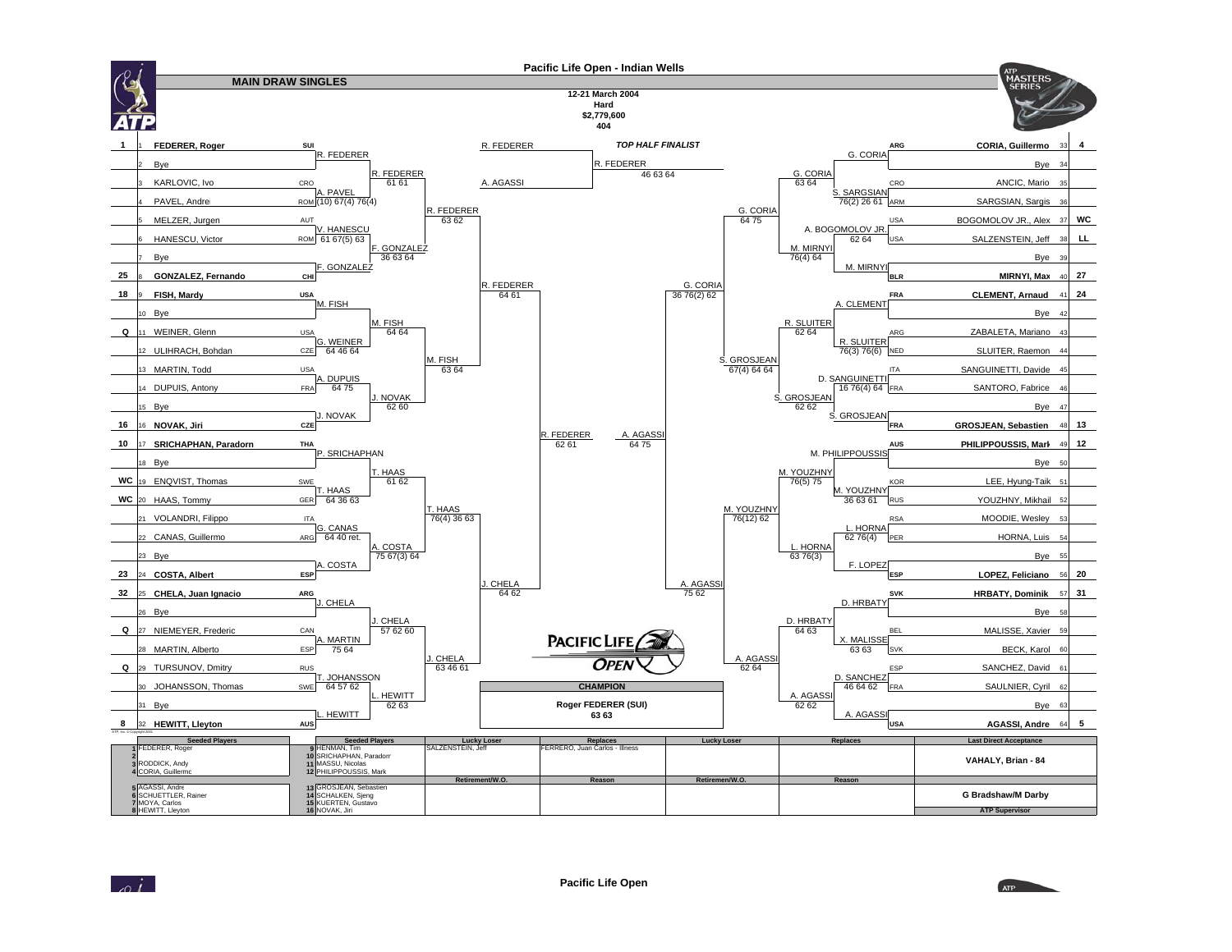